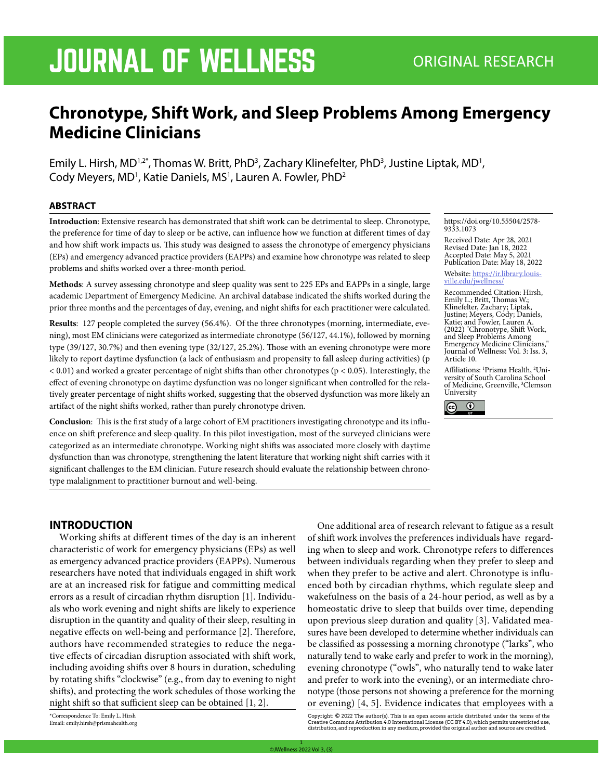# JOURNAL OF WELLNESS ORIGINAL RESEARCH

# **Chronotype, Shift Work, and Sleep Problems Among Emergency Medicine Clinicians**

Emily L. Hirsh, MD<sup>1,2\*</sup>, Thomas W. Britt, PhD<sup>3</sup>, Zachary Klinefelter, PhD<sup>3</sup>, Justine Liptak, MD<sup>1</sup>, Cody Meyers, MD<sup>1</sup>, Katie Daniels, MS<sup>1</sup>, Lauren A. Fowler, PhD<sup>2</sup>

#### **ABSTRACT**

**Introduction**: Extensive research has demonstrated that shift work can be detrimental to sleep. Chronotype, the preference for time of day to sleep or be active, can influence how we function at different times of day and how shift work impacts us. This study was designed to assess the chronotype of emergency physicians (EPs) and emergency advanced practice providers (EAPPs) and examine how chronotype was related to sleep problems and shifts worked over a three-month period.

**Methods**: A survey assessing chronotype and sleep quality was sent to 225 EPs and EAPPs in a single, large academic Department of Emergency Medicine. An archival database indicated the shifts worked during the prior three months and the percentages of day, evening, and night shifts for each practitioner were calculated.

**Results**: 127 people completed the survey (56.4%). Of the three chronotypes (morning, intermediate, evening), most EM clinicians were categorized as intermediate chronotype (56/127, 44.1%), followed by morning type (39/127, 30.7%) and then evening type (32/127, 25.2%). Those with an evening chronotype were more likely to report daytime dysfunction (a lack of enthusiasm and propensity to fall asleep during activities) (p < 0.01) and worked a greater percentage of night shifts than other chronotypes (p < 0.05). Interestingly, the effect of evening chronotype on daytime dysfunction was no longer significant when controlled for the relatively greater percentage of night shifts worked, suggesting that the observed dysfunction was more likely an artifact of the night shifts worked, rather than purely chronotype driven.

**Conclusion**: This is the first study of a large cohort of EM practitioners investigating chronotype and its influence on shift preference and sleep quality. In this pilot investigation, most of the surveyed clinicians were categorized as an intermediate chronotype. Working night shifts was associated more closely with daytime dysfunction than was chronotype, strengthening the latent literature that working night shift carries with it significant challenges to the EM clinician. Future research should evaluate the relationship between chronotype malalignment to practitioner burnout and well-being.

#### https://doi.org/10.55504/2578- 9333.1073

Received Date: Apr 28, 2021 Revised Date: Jan 18, 2022 Accepted Date: May 5, 2021 Publication Date: May 18, 2022

Website: https://ir.library.louis- ville.edu/jwellness/

Recommended Citation: Hirsh, Emily L.; Britt, Thomas W.; Klinefelter, Zachary; Liptak, Justine; Meyers, Cody; Daniels, Katie; and Fowler, Lauren A. (2022) "Chronotype, Shift Work, and Sleep Problems Among Emergency Medicine Clinicians," Journal of Wellness: Vol. 3: Iss. 3, Article 10.

Affiliations: 1 Prisma Health, 2 Uni- versity of South Carolina School of Medicine, Greenville, 3 Clemson University



## **INTRODUCTION**

Working shifts at different times of the day is an inherent characteristic of work for emergency physicians (EPs) as well as emergency advanced practice providers (EAPPs). Numerous researchers have noted that individuals engaged in shift work are at an increased risk for fatigue and committing medical errors as a result of circadian rhythm disruption [1]. Individuals who work evening and night shifts are likely to experience disruption in the quantity and quality of their sleep, resulting in negative effects on well-being and performance [2]. Therefore, authors have recommended strategies to reduce the negative effects of circadian disruption associated with shift work, including avoiding shifts over 8 hours in duration, scheduling by rotating shifts "clockwise" (e.g., from day to evening to night shifts), and protecting the work schedules of those working the night shift so that sufficient sleep can be obtained [1, 2].

\*Correspondence To: Emily L. Hirsh Email: emily.hirsh@prismahealth.org

One additional area of research relevant to fatigue as a result of shift work involves the preferences individuals have regarding when to sleep and work. Chronotype refers to differences between individuals regarding when they prefer to sleep and when they prefer to be active and alert. Chronotype is influenced both by circadian rhythms, which regulate sleep and wakefulness on the basis of a 24-hour period, as well as by a homeostatic drive to sleep that builds over time, depending upon previous sleep duration and quality [3]. Validated measures have been developed to determine whether individuals can be classified as possessing a morning chronotype ("larks", who naturally tend to wake early and prefer to work in the morning), evening chronotype ("owls", who naturally tend to wake later and prefer to work into the evening), or an intermediate chronotype (those persons not showing a preference for the morning or evening) [4, 5]. Evidence indicates that employees with a

Copyright: © 2022 The author(s). This is an open access article distributed under the terms of the<br>Creative Commons Attribution 4.0 International License (CC BY 4.0), which permits unrestricted use,<br>distribution,and repro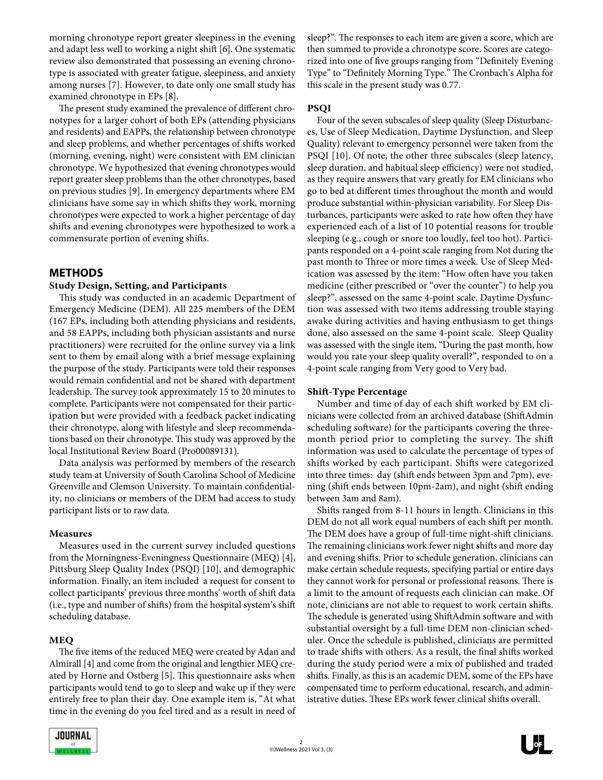morning chronotype report greater sleepiness in the evening and adapt less well to working a night shift [6]. One systematic review also demonstrated that possessing an evening chronotype is associated with greater fatigue, sleepiness, and anxiety among nurses [7]. However, to date only one small study has examined chronotype in EPs [8].

The present study examined the prevalence of different chronotypes for a larger cohort of both EPs (attending physicians and residents) and EAPPs, the relationship between chronotype and sleep problems, and whether percentages of shifts worked (morning, evening, night) were consistent with EM clinician chronotype. We hypothesized that evening chronotypes would report greater sleep problems than the other chronotypes, based on previous studies [9]. In emergency departments where EM clinicians have some say in which shifts they work, morning chronotypes were expected to work a higher percentage of day shifts and evening chronotypes were hypothesized to work a commensurate portion of evening shifts.

## **METHODS**

#### **Study Design, Setting, and Participants**

This study was conducted in an academic Department of Emergency Medicine (DEM). All 225 members of the DEM (167 EPs, including both attending physicians and residents, and 58 EAPPs, including both physician assistants and nurse practitioners) were recruited for the online survey via a link sent to them by email along with a brief message explaining the purpose of the study. Participants were told their responses would remain confidential and not be shared with department leadership. The survey took approximately 15 to 20 minutes to complete. Participants were not compensated for their participation but were provided with a feedback packet indicating their chronotype, along with lifestyle and sleep recommendations based on their chronotype. This study was approved by the local Institutional Review Board (Pro00089131).

Data analysis was performed by members of the research study team at University of South Carolina School of Medicine Greenville and Clemson University. To maintain confidentiality, no clinicians or members of the DEM had access to study participant lists or to raw data.

#### **Measures**

Measures used in the current survey included questions from the Morningness-Eveningness Questionnaire (MEQ) [4], Pittsburg Sleep Quality Index (PSQI) [10], and demographic information. Finally, an item included a request for consent to collect participants' previous three months' worth of shift data (i.e., type and number of shifts) from the hospital system's shift scheduling database.

#### **MEQ**

The five items of the reduced MEQ were created by Adan and Almirall [4] and come from the original and lengthier MEQ created by Horne and Ostberg [5]. This questionnaire asks when participants would tend to go to sleep and wake up if they were entirely free to plan their day. One example item is, "At what time in the evening do you feel tired and as a result in need of sleep?". The responses to each item are given a score, which are then summed to provide a chronotype score. Scores are categorized into one of five groups ranging from "Definitely Evening Type" to "Definitely Morning Type." The Cronbach's Alpha for this scale in the present study was 0.77.

#### **PSQI**

Four of the seven subscales of sleep quality (Sleep Disturbances, Use of Sleep Medication, Daytime Dysfunction, and Sleep Quality) relevant to emergency personnel were taken from the PSQI [10]. Of note, the other three subscales (sleep latency, sleep duration, and habitual sleep efficiency) were not studied, as they require answers that vary greatly for EM clinicians who go to bed at different times throughout the month and would produce substantial within-physician variability. For Sleep Disturbances, participants were asked to rate how often they have experienced each of a list of 10 potential reasons for trouble sleeping (e.g., cough or snore too loudly, feel too hot). Participants responded on a 4-point scale ranging from Not during the past month to Three or more times a week. Use of Sleep Medication was assessed by the item: "How often have you taken medicine (either prescribed or "over the counter") to help you sleep?", assessed on the same 4-point scale. Daytime Dysfunction was assessed with two items addressing trouble staying awake during activities and having enthusiasm to get things done, also assessed on the same 4-point scale. Sleep Quality was assessed with the single item, "During the past month, how would you rate your sleep quality overall?", responded to on a 4-point scale ranging from Very good to Very bad.

#### **Shift-Type Percentage**

Number and time of day of each shift worked by EM clinicians were collected from an archived database (ShiftAdmin scheduling software) for the participants covering the threemonth period prior to completing the survey. The shift information was used to calculate the percentage of types of shifts worked by each participant. Shifts were categorized into three times: day (shift ends between 3pm and 7pm), evening (shift ends between 10pm-2am), and night (shift ending between 3am and 8am).

Shifts ranged from 8-11 hours in length. Clinicians in this DEM do not all work equal numbers of each shift per month. The DEM does have a group of full-time night-shift clinicians. The remaining clinicians work fewer night shifts and more day and evening shifts. Prior to schedule generation, clinicians can make certain schedule requests, specifying partial or entire days they cannot work for personal or professional reasons. There is a limit to the amount of requests each clinician can make. Of note, clinicians are not able to request to work certain shifts. The schedule is generated using ShiftAdmin software and with substantial oversight by a full-time DEM non-clinician scheduler. Once the schedule is published, clinicians are permitted to trade shifts with others. As a result, the final shifts worked during the study period were a mix of published and traded shifts. Finally, as this is an academic DEM, some of the EPs have compensated time to perform educational, research, and administrative duties. These EPs work fewer clinical shifts overall.



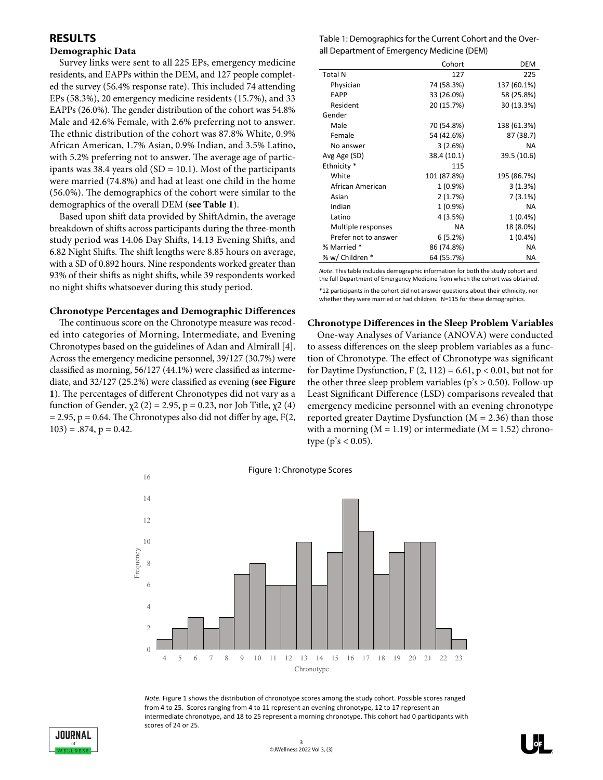# **RESULTS**

#### **Demographic Data**

Survey links were sent to all 225 EPs, emergency medicine residents, and EAPPs within the DEM, and 127 people completed the survey (56.4% response rate). This included 74 attending EPs (58.3%), 20 emergency medicine residents (15.7%), and 33 EAPPs (26.0%). The gender distribution of the cohort was 54.8% Male and 42.6% Female, with 2.6% preferring not to answer. The ethnic distribution of the cohort was 87.8% White, 0.9% African American, 1.7% Asian, 0.9% Indian, and 3.5% Latino, with 5.2% preferring not to answer. The average age of participants was 38.4 years old  $(SD = 10.1)$ . Most of the participants were married (74.8%) and had at least one child in the home (56.0%). The demographics of the cohort were similar to the demographics of the overall DEM (**see Table 1**).

Based upon shift data provided by ShiftAdmin, the average breakdown of shifts across participants during the three-month study period was 14.06 Day Shifts, 14.13 Evening Shifts, and 6.82 Night Shifts. The shift lengths were 8.85 hours on average, with a SD of 0.892 hours. Nine respondents worked greater than 93% of their shifts as night shifts, while 39 respondents worked no night shifts whatsoever during this study period.

#### **Chronotype Percentages and Demographic Differences**

The continuous score on the Chronotype measure was recoded into categories of Morning, Intermediate, and Evening Chronotypes based on the guidelines of Adan and Almirall [4]. Across the emergency medicine personnel, 39/127 (30.7%) were classified as morning, 56/127 (44.1%) were classified as intermediate, and 32/127 (25.2%) were classified as evening (**see Figure 1**). The percentages of different Chronotypes did not vary as a function of Gender,  $\chi$ 2 (2) = 2.95, p = 0.23, nor Job Title,  $\chi$ 2 (4)  $= 2.95$ ,  $p = 0.64$ . The Chronotypes also did not differ by age, F(2,  $103$ ) = .874, p = 0.42.

| Table 1: Demographics for the Current Cohort and the Over- |
|------------------------------------------------------------|
| all Department of Emergency Medicine (DEM)                 |

|                      | Cohort      | DEM         |
|----------------------|-------------|-------------|
| <b>Total N</b>       | 127         | 225         |
| Physician            | 74 (58.3%)  | 137 (60.1%) |
| EAPP                 | 33 (26.0%)  | 58 (25.8%)  |
| Resident             | 20 (15.7%)  | 30 (13.3%)  |
| Gender               |             |             |
| Male                 | 70 (54.8%)  | 138 (61.3%) |
| Female               | 54 (42.6%)  | 87 (38.7)   |
| No answer            | 3(2.6%)     | <b>NA</b>   |
| Avg Age (SD)         | 38.4 (10.1) | 39.5 (10.6) |
| Ethnicity *          | 115         |             |
| White                | 101 (87.8%) | 195 (86.7%) |
| African American     | 1(0.9%      | 3(1.3%)     |
| Asian                | 2 (1.7%)    | 7 (3.1%)    |
| Indian               | $1(0.9\%)$  | <b>NA</b>   |
| Latino               | 4 (3.5%)    | $1(0.4\%)$  |
| Multiple responses   | <b>NA</b>   | 18 (8.0%)   |
| Prefer not to answer | 6(5.2%)     | $1(0.4\%)$  |
| % Married *          | 86 (74.8%)  | <b>NA</b>   |
| % w/ Children *      | 64 (55.7%)  | NA.         |

*Note*. This table includes demographic information for both the study cohort and the full Department of Emergency Medicine from which the cohort was obtained.

\*12 participants in the cohort did not answer questions about their ethnicity, nor whether they were married or had children. N=115 for these demographics.

#### **Chronotype Differences in the Sleep Problem Variables**

One-way Analyses of Variance (ANOVA) were conducted to assess differences on the sleep problem variables as a function of Chronotype. The effect of Chronotype was significant for Daytime Dysfunction,  $F(2, 112) = 6.61$ ,  $p < 0.01$ , but not for the other three sleep problem variables ( $p's > 0.50$ ). Follow-up Least Significant Difference (LSD) comparisons revealed that emergency medicine personnel with an evening chronotype reported greater Daytime Dysfunction ( $M = 2.36$ ) than those with a morning  $(M = 1.19)$  or intermediate  $(M = 1.52)$  chronotype ( $p's < 0.05$ ).



*Note.* Figure 1 shows the distribution of chronotype scores among the study cohort. Possible scores ranged from 4 to 25. Scores ranging from 4 to 11 represent an evening chronotype, 12 to 17 represent an intermediate chronotype, and 18 to 25 represent a morning chronotype. This cohort had 0 participants with scores of 24 or 25.

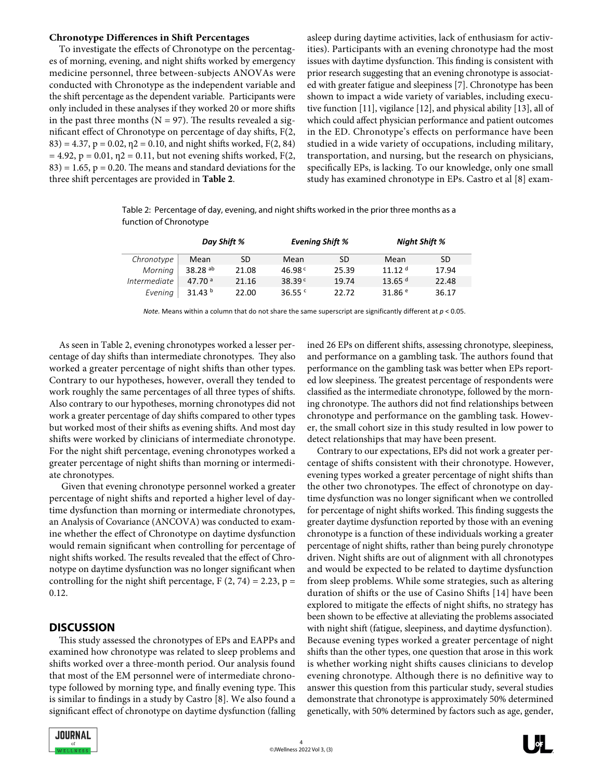#### **Chronotype Differences in Shift Percentages**

To investigate the effects of Chronotype on the percentages of morning, evening, and night shifts worked by emergency medicine personnel, three between-subjects ANOVAs were conducted with Chronotype as the independent variable and the shift percentage as the dependent variable. Participants were only included in these analyses if they worked 20 or more shifts in the past three months ( $N = 97$ ). The results revealed a significant effect of Chronotype on percentage of day shifts, F(2,  $83$ ) = 4.37, p = 0.02,  $\eta$ 2 = 0.10, and night shifts worked, F(2, 84)  $= 4.92$ ,  $p = 0.01$ ,  $p = 0.11$ , but not evening shifts worked, F(2,  $83$ ) = 1.65, p = 0.20. The means and standard deviations for the three shift percentages are provided in **Table 2**.

asleep during daytime activities, lack of enthusiasm for activities). Participants with an evening chronotype had the most issues with daytime dysfunction. This finding is consistent with prior research suggesting that an evening chronotype is associated with greater fatigue and sleepiness [7]. Chronotype has been shown to impact a wide variety of variables, including executive function [11], vigilance [12], and physical ability [13], all of which could affect physician performance and patient outcomes in the ED. Chronotype's effects on performance have been studied in a wide variety of occupations, including military, transportation, and nursing, but the research on physicians, specifically EPs, is lacking. To our knowledge, only one small study has examined chronotype in EPs. Castro et al [8] exam-

Table 2: Percentage of day, evening, and night shifts worked in the prior three months as a function of Chronotype

|              | Day Shift %      |       | <b>Evening Shift %</b> |       | <b>Night Shift %</b> |       |
|--------------|------------------|-------|------------------------|-------|----------------------|-------|
| Chronotype   | Mean             | SD    | Mean                   | SD    | Mean                 | SD    |
| Morning      | 38.28 $ab$       | 21.08 | 46.98 $C$              | 25.39 | 11 12 <sup>d</sup>   | 17.94 |
| Intermediate | 47.70 $a$        | 21.16 | 38.39 $c$              | 19.74 | 13.65 $d$            | 22.48 |
| Evening      | 31.43 $^{\rm b}$ | 22.00 | 36.55 $\degree$        | 22 72 | 31.86 $e$            | 36.17 |

*Note.* Means within a column that do not share the same superscript are significantly different at *p* < 0.05.

As seen in Table 2, evening chronotypes worked a lesser percentage of day shifts than intermediate chronotypes. They also worked a greater percentage of night shifts than other types. Contrary to our hypotheses, however, overall they tended to work roughly the same percentages of all three types of shifts. Also contrary to our hypotheses, morning chronotypes did not work a greater percentage of day shifts compared to other types but worked most of their shifts as evening shifts. And most day shifts were worked by clinicians of intermediate chronotype. For the night shift percentage, evening chronotypes worked a greater percentage of night shifts than morning or intermediate chronotypes.

 Given that evening chronotype personnel worked a greater percentage of night shifts and reported a higher level of daytime dysfunction than morning or intermediate chronotypes, an Analysis of Covariance (ANCOVA) was conducted to examine whether the effect of Chronotype on daytime dysfunction would remain significant when controlling for percentage of night shifts worked. The results revealed that the effect of Chronotype on daytime dysfunction was no longer significant when controlling for the night shift percentage,  $F(2, 74) = 2.23$ ,  $p =$ 0.12.

#### **DISCUSSION**

This study assessed the chronotypes of EPs and EAPPs and examined how chronotype was related to sleep problems and shifts worked over a three-month period. Our analysis found that most of the EM personnel were of intermediate chronotype followed by morning type, and finally evening type. This is similar to findings in a study by Castro [8]. We also found a significant effect of chronotype on daytime dysfunction (falling ined 26 EPs on different shifts, assessing chronotype, sleepiness, and performance on a gambling task. The authors found that performance on the gambling task was better when EPs reported low sleepiness. The greatest percentage of respondents were classified as the intermediate chronotype, followed by the morning chronotype. The authors did not find relationships between chronotype and performance on the gambling task. However, the small cohort size in this study resulted in low power to detect relationships that may have been present.

Contrary to our expectations, EPs did not work a greater percentage of shifts consistent with their chronotype. However, evening types worked a greater percentage of night shifts than the other two chronotypes. The effect of chronotype on daytime dysfunction was no longer significant when we controlled for percentage of night shifts worked. This finding suggests the greater daytime dysfunction reported by those with an evening chronotype is a function of these individuals working a greater percentage of night shifts, rather than being purely chronotype driven. Night shifts are out of alignment with all chronotypes and would be expected to be related to daytime dysfunction from sleep problems. While some strategies, such as altering duration of shifts or the use of Casino Shifts [14] have been explored to mitigate the effects of night shifts, no strategy has been shown to be effective at alleviating the problems associated with night shift (fatigue, sleepiness, and daytime dysfunction). Because evening types worked a greater percentage of night shifts than the other types, one question that arose in this work is whether working night shifts causes clinicians to develop evening chronotype. Although there is no definitive way to answer this question from this particular study, several studies demonstrate that chronotype is approximately 50% determined genetically, with 50% determined by factors such as age, gender,

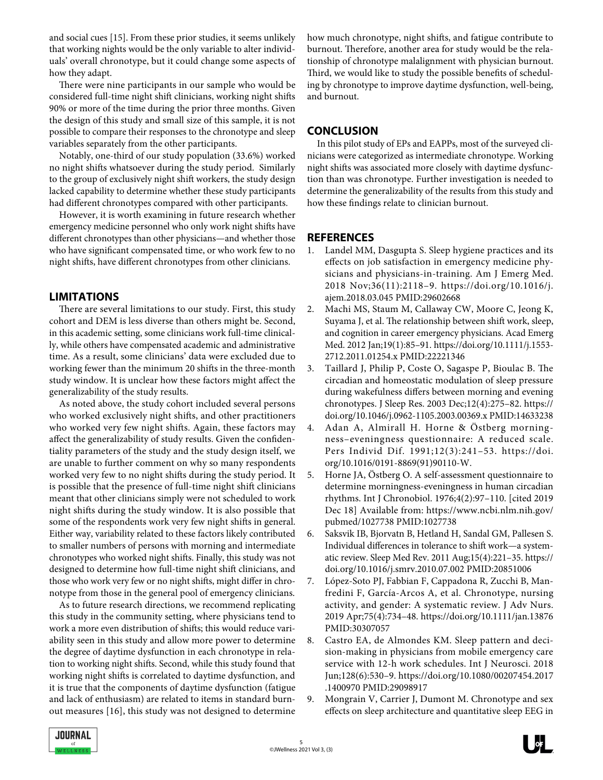and social cues [15]. From these prior studies, it seems unlikely that working nights would be the only variable to alter individuals' overall chronotype, but it could change some aspects of how they adapt.

There were nine participants in our sample who would be considered full-time night shift clinicians, working night shifts 90% or more of the time during the prior three months. Given the design of this study and small size of this sample, it is not possible to compare their responses to the chronotype and sleep variables separately from the other participants.

Notably, one-third of our study population (33.6%) worked no night shifts whatsoever during the study period. Similarly to the group of exclusively night shift workers, the study design lacked capability to determine whether these study participants had different chronotypes compared with other participants.

However, it is worth examining in future research whether emergency medicine personnel who only work night shifts have different chronotypes than other physicians—and whether those who have significant compensated time, or who work few to no night shifts, have different chronotypes from other clinicians.

# **LIMITATIONS**

There are several limitations to our study. First, this study cohort and DEM is less diverse than others might be. Second, in this academic setting, some clinicians work full-time clinically, while others have compensated academic and administrative time. As a result, some clinicians' data were excluded due to working fewer than the minimum 20 shifts in the three-month study window. It is unclear how these factors might affect the generalizability of the study results.

As noted above, the study cohort included several persons who worked exclusively night shifts, and other practitioners who worked very few night shifts. Again, these factors may affect the generalizability of study results. Given the confidentiality parameters of the study and the study design itself, we are unable to further comment on why so many respondents worked very few to no night shifts during the study period. It is possible that the presence of full-time night shift clinicians meant that other clinicians simply were not scheduled to work night shifts during the study window. It is also possible that some of the respondents work very few night shifts in general. Either way, variability related to these factors likely contributed to smaller numbers of persons with morning and intermediate chronotypes who worked night shifts. Finally, this study was not designed to determine how full-time night shift clinicians, and those who work very few or no night shifts, might differ in chronotype from those in the general pool of emergency clinicians.

As to future research directions, we recommend replicating this study in the community setting, where physicians tend to work a more even distribution of shifts; this would reduce variability seen in this study and allow more power to determine the degree of daytime dysfunction in each chronotype in relation to working night shifts. Second, while this study found that working night shifts is correlated to daytime dysfunction, and it is true that the components of daytime dysfunction (fatigue and lack of enthusiasm) are related to items in standard burnout measures [16], this study was not designed to determine how much chronotype, night shifts, and fatigue contribute to burnout. Therefore, another area for study would be the relationship of chronotype malalignment with physician burnout. Third, we would like to study the possible benefits of scheduling by chronotype to improve daytime dysfunction, well-being, and burnout.

# **CONCLUSION**

In this pilot study of EPs and EAPPs, most of the surveyed clinicians were categorized as intermediate chronotype. Working night shifts was associated more closely with daytime dysfunction than was chronotype. Further investigation is needed to determine the generalizability of the results from this study and how these findings relate to clinician burnout.

## **REFERENCES**

- 1. Landel MM, Dasgupta S. Sleep hygiene practices and its effects on job satisfaction in emergency medicine physicians and physicians-in-training. Am J Emerg Med. 2018 Nov;36(11):2118–9. https://doi.org/10.1016/j. ajem.2018.03.045 PMID:29602668
- 2. Machi MS, Staum M, Callaway CW, Moore C, Jeong K, Suyama J, et al. The relationship between shift work, sleep, and cognition in career emergency physicians. Acad Emerg Med. 2012 Jan;19(1):85–91. https://doi.org/10.1111/j.1553- 2712.2011.01254.x PMID:22221346
- 3. Taillard J, Philip P, Coste O, Sagaspe P, Bioulac B. The circadian and homeostatic modulation of sleep pressure during wakefulness differs between morning and evening chronotypes. J Sleep Res. 2003 Dec;12(4):275–82. https:// doi.org/10.1046/j.0962-1105.2003.00369.x PMID:14633238
- 4. Adan A, Almirall H. Horne & Östberg morningness–eveningness questionnaire: A reduced scale. Pers Individ Dif. 1991;12(3):241–53. https://doi. org/10.1016/0191-8869(91)90110-W.
- 5. Horne JA, Östberg O. A self-assessment questionnaire to determine morningness-eveningness in human circadian rhythms. Int J Chronobiol. 1976;4(2):97–110. [cited 2019 Dec 18] Available from: https://www.ncbi.nlm.nih.gov/ pubmed/1027738 PMID:1027738
- 6. Saksvik IB, Bjorvatn B, Hetland H, Sandal GM, Pallesen S. Individual differences in tolerance to shift work—a systematic review. Sleep Med Rev. 2011 Aug;15(4):221–35. https:// doi.org/10.1016/j.smrv.2010.07.002 PMID:20851006
- 7. López-Soto PJ, Fabbian F, Cappadona R, Zucchi B, Manfredini F, García-Arcos A, et al. Chronotype, nursing activity, and gender: A systematic review. J Adv Nurs. 2019 Apr;75(4):734–48. https://doi.org/10.1111/jan.13876 PMID:30307057
- 8. Castro EA, de Almondes KM. Sleep pattern and decision-making in physicians from mobile emergency care service with 12-h work schedules. Int J Neurosci. 2018 Jun;128(6):530–9. https://doi.org/10.1080/00207454.2017 .1400970 PMID:29098917
- 9. Mongrain V, Carrier J, Dumont M. Chronotype and sex effects on sleep architecture and quantitative sleep EEG in